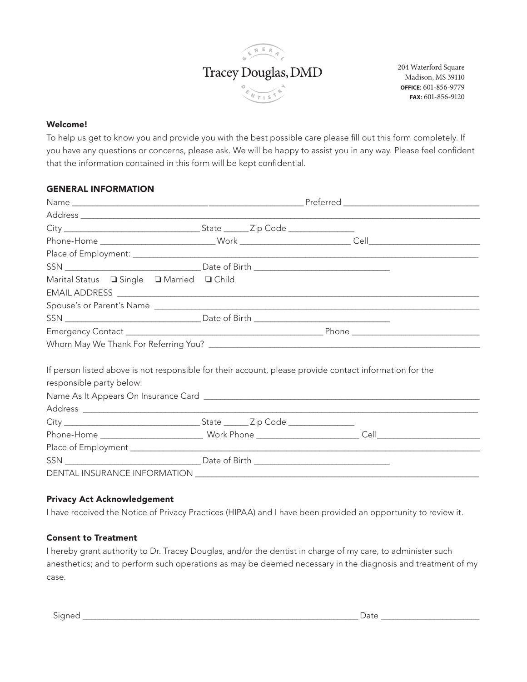

204 Waterford Square Madison, MS 39110 **OFFICE**: 601-856-9779 **FAX**: 601-856-9120

#### Welcome!

To help us get to know you and provide you with the best possible care please fill out this form completely. If you have any questions or concerns, please ask. We will be happy to assist you in any way. Please feel confident that the information contained in this form will be kept confidential.

#### GENERAL INFORMATION

| Marital Status ■ Single ■ Married ■ Child |                                                                                                         |
|-------------------------------------------|---------------------------------------------------------------------------------------------------------|
|                                           | Spouse's or Parent's Name                                                                               |
|                                           |                                                                                                         |
|                                           |                                                                                                         |
|                                           |                                                                                                         |
| responsible party below:                  | If person listed above is not responsible for their account, please provide contact information for the |
|                                           |                                                                                                         |
|                                           |                                                                                                         |
|                                           |                                                                                                         |
|                                           |                                                                                                         |
|                                           |                                                                                                         |

#### Privacy Act Acknowledgement

I have received the Notice of Privacy Practices (HIPAA) and I have been provided an opportunity to review it.

#### Consent to Treatment

I hereby grant authority to Dr. Tracey Douglas, and/or the dentist in charge of my care, to administer such anesthetics; and to perform such operations as may be deemed necessary in the diagnosis and treatment of my case.

Signed \_\_\_\_\_\_\_\_\_\_\_\_\_\_\_\_\_\_\_\_\_\_\_\_\_\_\_\_\_\_\_\_\_\_\_\_\_\_\_\_\_\_\_\_\_\_\_\_\_\_\_\_\_\_\_\_\_\_\_\_\_\_\_\_\_\_\_ Date \_\_\_\_\_\_\_\_\_\_\_\_\_\_\_\_\_\_\_\_\_\_\_\_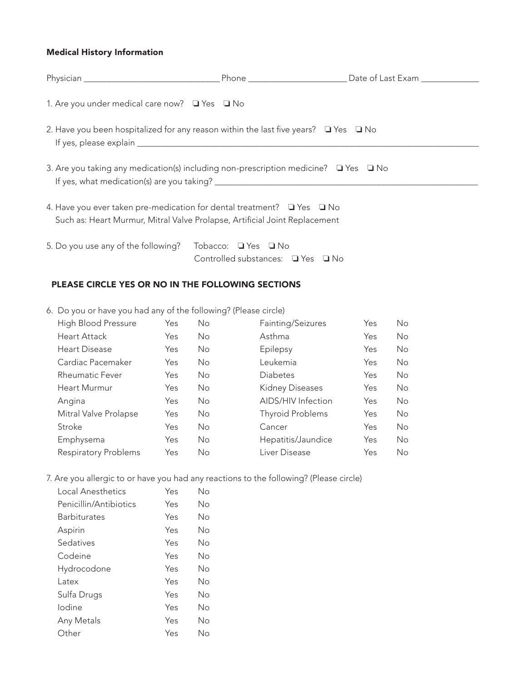#### Medical History Information

| 1. Are you under medical care now? $\Box$ Yes $\Box$ No                                                                                              |  |
|------------------------------------------------------------------------------------------------------------------------------------------------------|--|
| 2. Have you been hospitalized for any reason within the last five years? $\Box$ Yes $\Box$ No                                                        |  |
| 3. Are you taking any medication(s) including non-prescription medicine? $\Box$ Yes $\Box$ No                                                        |  |
| 4. Have you ever taken pre-medication for dental treatment? I Yes I No<br>Such as: Heart Murmur, Mitral Valve Prolapse, Artificial Joint Replacement |  |

5. Do you use any of the following? Tobacco:  $\Box$  Yes  $\Box$  No Controlled substances:  $\Box$  Yes  $\Box$  No

# PLEASE CIRCLE YES OR NO IN THE FOLLOWING SECTIONS

6. Do you or have you had any of the following? (Please circle)

| High Blood Pressure    | Yes | No. | Fainting/Seizures      | Yes | No. |
|------------------------|-----|-----|------------------------|-----|-----|
| <b>Heart Attack</b>    | Yes | No. | Asthma                 | Yes | No. |
| Heart Disease          | Yes | No. | Epilepsy               | Yes | No. |
| Cardiac Pacemaker      | Yes | No. | Leukemia               | Yes | No. |
| <b>Rheumatic Fever</b> | Yes | No. | Diabetes               | Yes | No. |
| <b>Heart Murmur</b>    | Yes | No. | <b>Kidney Diseases</b> | Yes | No. |
| Angina                 | Yes | No. | AIDS/HIV Infection     | Yes | No. |
| Mitral Valve Prolapse  | Yes | No. | Thyroid Problems       | Yes | No. |
| Stroke                 | Yes | No. | Cancer                 | Yes | No. |
| Emphysema              | Yes | No. | Hepatitis/Jaundice     | Yes | No. |
| Respiratory Problems   | Yes | No. | Liver Disease          | Yes | No. |

7. Are you allergic to or have you had any reactions to the following? (Please circle)

| Local Anesthetics      | Yes | Nο |
|------------------------|-----|----|
| Penicillin/Antibiotics | Yes | Νo |
| <b>Barbiturates</b>    | Yes | Nο |
| Aspirin                | Yes | Nο |
| Sedatives              | Yes | Nο |
| Codeine                | Yes | Nο |
| Hydrocodone            | Yes | Nο |
| l atex                 | Yes | Nο |
| Sulfa Drugs            | Yes | Nο |
| Iodine                 | Yes | Nο |
| Any Metals             | Yes | Nο |
| Other                  | Yes | Nο |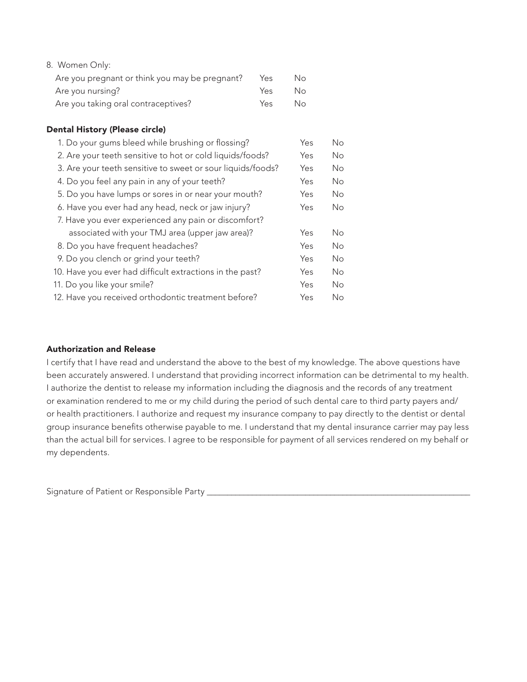| 8. Women Only:                                 |      |     |
|------------------------------------------------|------|-----|
| Are you pregnant or think you may be pregnant? | Yes  | No. |
| Are you nursing?                               | Yes. | No. |
| Are you taking oral contraceptives?            | Yes. | No. |

## Dental History (Please circle)

| 1. Do your gums bleed while brushing or flossing?           | Yes | No  |
|-------------------------------------------------------------|-----|-----|
| 2. Are your teeth sensitive to hot or cold liquids/foods?   | Yes | No. |
| 3. Are your teeth sensitive to sweet or sour liquids/foods? | Yes | No. |
| 4. Do you feel any pain in any of your teeth?               | Yes | No. |
| 5. Do you have lumps or sores in or near your mouth?        | Yes | No. |
| 6. Have you ever had any head, neck or jaw injury?          | Yes | No. |
| 7. Have you ever experienced any pain or discomfort?        |     |     |
| associated with your TMJ area (upper jaw area)?             | Yes | No. |
| 8. Do you have frequent headaches?                          | Yes | No. |
| 9. Do you clench or grind your teeth?                       | Yes | No. |
| 10. Have you ever had difficult extractions in the past?    | Yes | No. |
| 11. Do you like your smile?                                 | Yes | No. |
| 12. Have you received orthodontic treatment before?         | Yes | No. |

#### Authorization and Release

I certify that I have read and understand the above to the best of my knowledge. The above questions have been accurately answered. I understand that providing incorrect information can be detrimental to my health. I authorize the dentist to release my information including the diagnosis and the records of any treatment or examination rendered to me or my child during the period of such dental care to third party payers and/ or health practitioners. I authorize and request my insurance company to pay directly to the dentist or dental group insurance benefits otherwise payable to me. I understand that my dental insurance carrier may pay less than the actual bill for services. I agree to be responsible for payment of all services rendered on my behalf or my dependents.

Signature of Patient or Responsible Party \_\_\_\_\_\_\_\_\_\_\_\_\_\_\_\_\_\_\_\_\_\_\_\_\_\_\_\_\_\_\_\_\_\_\_\_\_\_\_\_\_\_\_\_\_\_\_\_\_\_\_\_\_\_\_\_\_\_\_\_\_\_\_\_